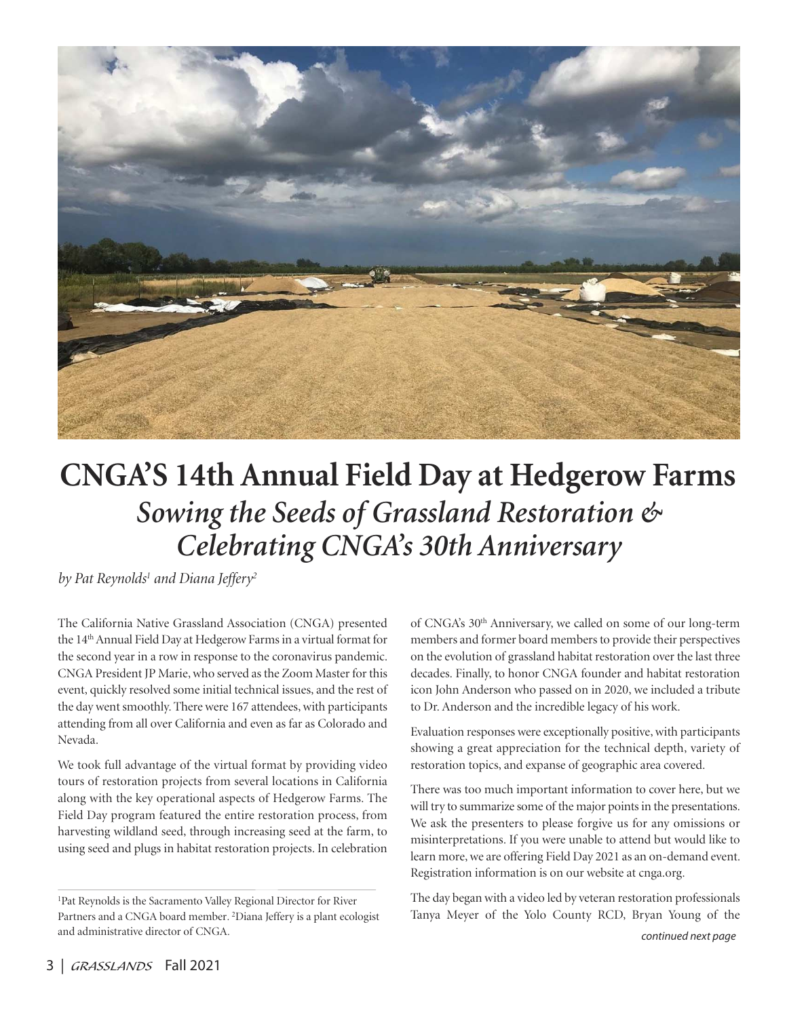

# **CNGA'S 14th Annual Field Day at Hedgerow Farms**  *Sowing the Seeds of Grassland Restoration & Celebrating CNGA's 30th Anniversary*

*by Pat Reynolds1 and Diana Jeffery2*

The California Native Grassland Association (CNGA) presented the 14<sup>th</sup> Annual Field Day at Hedgerow Farms in a virtual format for the second year in a row in response to the coronavirus pandemic. CNGA President JP Marie, who served as the Zoom Master for this event, quickly resolved some initial technical issues, and the rest of the day went smoothly. There were 167 attendees, with participants attending from all over California and even as far as Colorado and Nevada.

We took full advantage of the virtual format by providing video tours of restoration projects from several locations in California along with the key operational aspects of Hedgerow Farms. The Field Day program featured the entire restoration process, from harvesting wildland seed, through increasing seed at the farm, to using seed and plugs in habitat restoration projects. In celebration of CNGA's 30th Anniversary, we called on some of our long-term members and former board members to provide their perspectives on the evolution of grassland habitat restoration over the last three decades. Finally, to honor CNGA founder and habitat restoration icon John Anderson who passed on in 2020, we included a tribute to Dr. Anderson and the incredible legacy of his work.

Evaluation responses were exceptionally positive, with participants showing a great appreciation for the technical depth, variety of restoration topics, and expanse of geographic area covered.

There was too much important information to cover here, but we will try to summarize some of the major points in the presentations. We ask the presenters to please forgive us for any omissions or misinterpretations. If you were unable to attend but would like to learn more, we are offering Field Day 2021 as an on-demand event. Registration information is on our website at cnga.org.

The day began with a video led by veteran restoration professionals Tanya Meyer of the Yolo County RCD, Bryan Young of the

<sup>1</sup>Pat Reynolds is the Sacramento Valley Regional Director for River Partners and a CNGA board member*.* 2Diana Jeffery is a plant ecologist and administrative director of CNGA*.*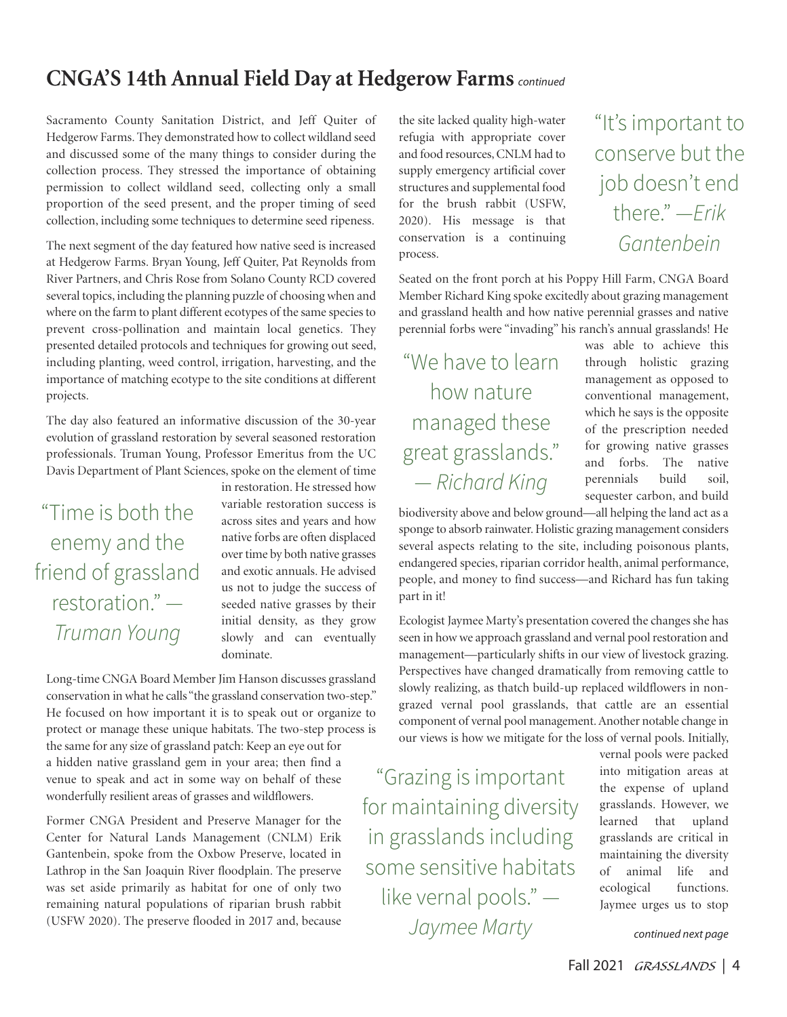## **CNGA'S 14th Annual Field Day at Hedgerow Farms** continued

Sacramento County Sanitation District, and Jeff Quiter of Hedgerow Farms. They demonstrated how to collect wildland seed and discussed some of the many things to consider during the collection process. They stressed the importance of obtaining permission to collect wildland seed, collecting only a small proportion of the seed present, and the proper timing of seed collection, including some techniques to determine seed ripeness.

The next segment of the day featured how native seed is increased at Hedgerow Farms. Bryan Young, Jeff Quiter, Pat Reynolds from River Partners, and Chris Rose from Solano County RCD covered several topics, including the planning puzzle of choosing when and where on the farm to plant different ecotypes of the same species to prevent cross-pollination and maintain local genetics. They presented detailed protocols and techniques for growing out seed, including planting, weed control, irrigation, harvesting, and the importance of matching ecotype to the site conditions at different projects.

The day also featured an informative discussion of the 30-year evolution of grassland restoration by several seasoned restoration professionals. Truman Young, Professor Emeritus from the UC Davis Department of Plant Sciences, spoke on the element of time

"Time is both the enemy and the friend of grassland restoration." — *Truman Young*

in restoration. He stressed how variable restoration success is across sites and years and how native forbs are often displaced over time by both native grasses and exotic annuals. He advised us not to judge the success of seeded native grasses by their initial density, as they grow slowly and can eventually dominate.

Long-time CNGA Board Member Jim Hanson discusses grassland conservation in what he calls "the grassland conservation two-step." He focused on how important it is to speak out or organize to protect or manage these unique habitats. The two-step process is the same for any size of grassland patch: Keep an eye out for a hidden native grassland gem in your area; then find a venue to speak and act in some way on behalf of these wonderfully resilient areas of grasses and wildflowers.

Former CNGA President and Preserve Manager for the Center for Natural Lands Management (CNLM) Erik Gantenbein, spoke from the Oxbow Preserve, located in Lathrop in the San Joaquin River floodplain. The preserve was set aside primarily as habitat for one of only two remaining natural populations of riparian brush rabbit (USFW 2020). The preserve flooded in 2017 and, because the site lacked quality high-water refugia with appropriate cover and food resources, CNLM had to supply emergency artificial cover structures and supplemental food for the brush rabbit (USFW, 2020). His message is that conservation is a continuing process.

Seated on the front porch at his Poppy Hill Farm, CNGA Board Member Richard King spoke excitedly about grazing management and grassland health and how native perennial grasses and native perennial forbs were "invading" his ranch's annual grasslands! He

"We have to learn how nature managed these great grasslands." — *Richard King*

was able to achieve this through holistic grazing management as opposed to conventional management, which he says is the opposite of the prescription needed for growing native grasses and forbs. The native perennials build soil, sequester carbon, and build

"It's important to

conserve but the

job doesn't end

there." —*Erik* 

*Gantenbein*

biodiversity above and below ground—all helping the land act as a sponge to absorb rainwater. Holistic grazing management considers several aspects relating to the site, including poisonous plants, endangered species, riparian corridor health, animal performance, people, and money to find success—and Richard has fun taking part in it!

Ecologist Jaymee Marty's presentation covered the changes she has seen in how we approach grassland and vernal pool restoration and management—particularly shifts in our view of livestock grazing. Perspectives have changed dramatically from removing cattle to slowly realizing, as thatch build-up replaced wildflowers in nongrazed vernal pool grasslands, that cattle are an essential component of vernal pool management. Another notable change in our views is how we mitigate for the loss of vernal pools. Initially,

"Grazing is important for maintaining diversity in grasslands including some sensitive habitats like vernal pools." — *Jaymee Marty*

vernal pools were packed into mitigation areas at the expense of upland grasslands. However, we learned that upland grasslands are critical in maintaining the diversity of animal life and ecological functions. Jaymee urges us to stop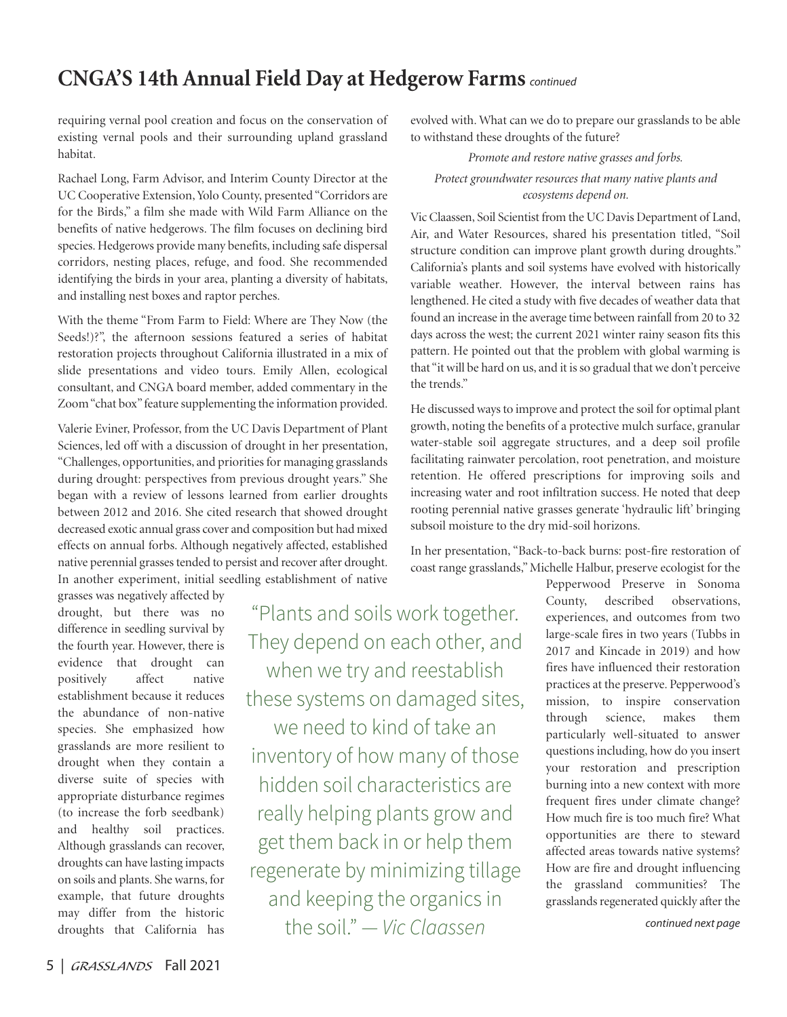### **CNGA'S 14th Annual Field Day at Hedgerow Farms** continued

requiring vernal pool creation and focus on the conservation of existing vernal pools and their surrounding upland grassland habitat.

Rachael Long, Farm Advisor, and Interim County Director at the UC Cooperative Extension, Yolo County, presented "Corridors are for the Birds," a film she made with Wild Farm Alliance on the benefits of native hedgerows. The film focuses on declining bird species. Hedgerows provide many benefits, including safe dispersal corridors, nesting places, refuge, and food. She recommended identifying the birds in your area, planting a diversity of habitats, and installing nest boxes and raptor perches.

With the theme "From Farm to Field: Where are They Now (the Seeds!)?", the afternoon sessions featured a series of habitat restoration projects throughout California illustrated in a mix of slide presentations and video tours. Emily Allen, ecological consultant, and CNGA board member, added commentary in the Zoom "chat box" feature supplementing the information provided.

Valerie Eviner, Professor, from the UC Davis Department of Plant Sciences, led off with a discussion of drought in her presentation, "Challenges, opportunities, and priorities for managing grasslands during drought: perspectives from previous drought years." She began with a review of lessons learned from earlier droughts between 2012 and 2016. She cited research that showed drought decreased exotic annual grass cover and composition but had mixed effects on annual forbs. Although negatively affected, established native perennial grasses tended to persist and recover after drought. In another experiment, initial seedling establishment of native

grasses was negatively affected by drought, but there was no difference in seedling survival by the fourth year. However, there is evidence that drought can positively affect native establishment because it reduces the abundance of non-native species. She emphasized how grasslands are more resilient to drought when they contain a diverse suite of species with appropriate disturbance regimes (to increase the forb seedbank) and healthy soil practices. Although grasslands can recover, droughts can have lasting impacts on soils and plants. She warns, for example, that future droughts may differ from the historic droughts that California has

"Plants and soils work together. They depend on each other, and when we try and reestablish these systems on damaged sites, we need to kind of take an inventory of how many of those hidden soil characteristics are really helping plants grow and get them back in or help them regenerate by minimizing tillage and keeping the organics in the soil." — *Vic Claassen*

evolved with. What can we do to prepare our grasslands to be able to withstand these droughts of the future?

*Promote and restore native grasses and forbs.* 

### *Protect groundwater resources that many native plants and ecosystems depend on.*

Vic Claassen, Soil Scientist from the UC Davis Department of Land, Air, and Water Resources, shared his presentation titled, "Soil structure condition can improve plant growth during droughts." California's plants and soil systems have evolved with historically variable weather. However, the interval between rains has lengthened. He cited a study with five decades of weather data that found an increase in the average time between rainfall from 20 to 32 days across the west; the current 2021 winter rainy season fits this pattern. He pointed out that the problem with global warming is that "it will be hard on us, and it is so gradual that we don't perceive the trends."

He discussed ways to improve and protect the soil for optimal plant growth, noting the benefits of a protective mulch surface, granular water-stable soil aggregate structures, and a deep soil profile facilitating rainwater percolation, root penetration, and moisture retention. He offered prescriptions for improving soils and increasing water and root infiltration success. He noted that deep rooting perennial native grasses generate 'hydraulic lift' bringing subsoil moisture to the dry mid-soil horizons.

In her presentation, "Back-to-back burns: post-fire restoration of coast range grasslands," Michelle Halbur, preserve ecologist for the

> Pepperwood Preserve in Sonoma County, described observations, experiences, and outcomes from two large-scale fires in two years (Tubbs in 2017 and Kincade in 2019) and how fires have influenced their restoration practices at the preserve. Pepperwood's mission, to inspire conservation through science, makes them particularly well-situated to answer questions including, how do you insert your restoration and prescription burning into a new context with more frequent fires under climate change? How much fire is too much fire? What opportunities are there to steward affected areas towards native systems? How are fire and drought influencing the grassland communities? The grasslands regenerated quickly after the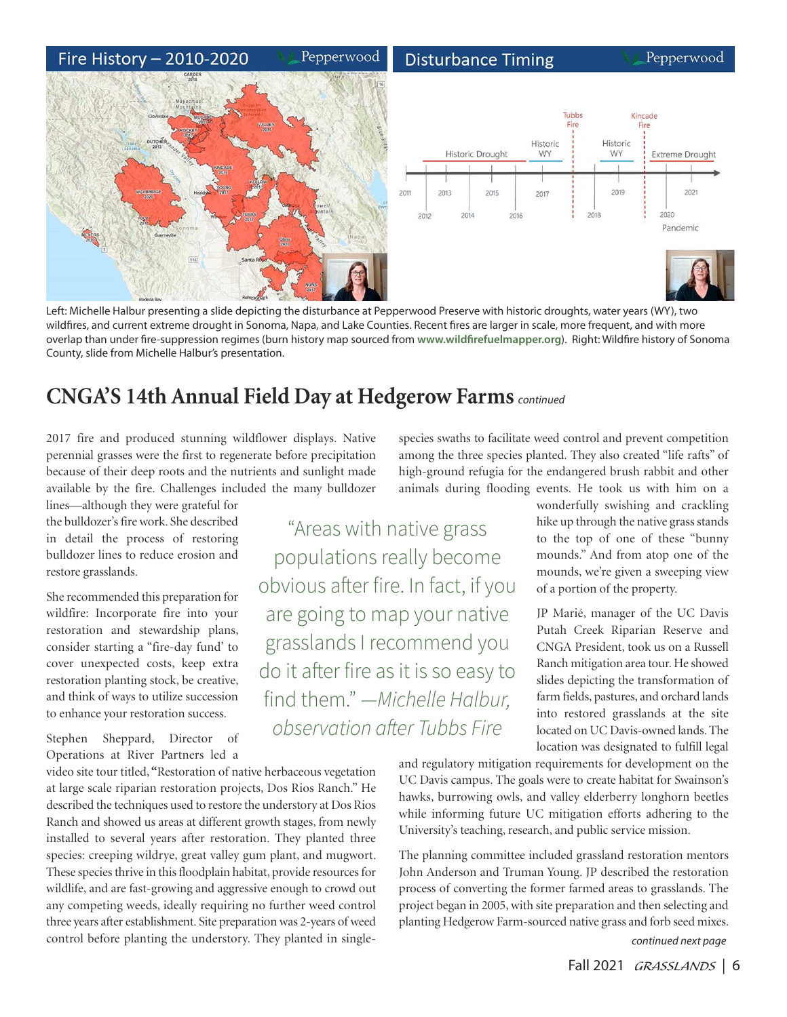#### Fire History - 2010-2020 Pepperwood **Disturbance Timing** Pepperwood Tubbs Kincade Fire Fire Historic Historic Historic Drought **WY WY** Extreme Drought 2019 2021 2011 2013 2015 2017 2018 2020 2014 2016 2012 Pandemic 116

Left: Michelle Halbur presenting a slide depicting the disturbance at Pepperwood Preserve with historic droughts, water years (WY), two wildfires, and current extreme drought in Sonoma, Napa, and Lake Counties. Recent fires are larger in scale, more frequent, and with more overlap than under fire-suppression regimes (burn history map sourced from **www.wildfirefuelmapper.org**). Right: Wildfire history of Sonoma County, slide from Michelle Halbur's presentation.

grasslands I recommend you

do it after fire as it is so easy to

find them." —*Michelle Halbur,* 

*observation a*ft*er Tubbs Fire*

## **CNGA'S 14th Annual Field Day at Hedgerow Farms** continued

2017 fire and produced stunning wildflower displays. Native perennial grasses were the first to regenerate before precipitation because of their deep roots and the nutrients and sunlight made available by the fire. Challenges included the many bulldozer

lines—although they were grateful for the bulldozer's fire work. She described in detail the process of restoring bulldozer lines to reduce erosion and restore grasslands.

She recommended this preparation for wildfire: Incorporate fire into your restoration and stewardship plans, consider starting a "fire-day fund' to cover unexpected costs, keep extra restoration planting stock, be creative, and think of ways to utilize succession to enhance your restoration success.

Stephen Sheppard, Director of Operations at River Partners led a

video site tour titled, **"**Restoration of native herbaceous vegetation at large scale riparian restoration projects, Dos Rios Ranch." He described the techniques used to restore the understory at Dos Rios Ranch and showed us areas at different growth stages, from newly installed to several years after restoration. They planted three species: creeping wildrye, great valley gum plant, and mugwort. These species thrive in this floodplain habitat, provide resources for wildlife, and are fast-growing and aggressive enough to crowd out any competing weeds, ideally requiring no further weed control three years after establishment. Site preparation was 2-years of weed control before planting the understory. They planted in single-

high-ground refugia for the endangered brush rabbit and other animals during flooding events. He took us with him on a "Areas with native grass populations really become obvious after fire. In fact, if you are going to map your native

wonderfully swishing and crackling hike up through the native grass stands to the top of one of these "bunny mounds." And from atop one of the mounds, we're given a sweeping view of a portion of the property.

JP Marié, manager of the UC Davis Putah Creek Riparian Reserve and CNGA President, took us on a Russell Ranch mitigation area tour. He showed slides depicting the transformation of farm fields, pastures, and orchard lands into restored grasslands at the site located on UC Davis-owned lands. The location was designated to fulfill legal

and regulatory mitigation requirements for development on the UC Davis campus. The goals were to create habitat for Swainson's hawks, burrowing owls, and valley elderberry longhorn beetles while informing future UC mitigation efforts adhering to the University's teaching, research, and public service mission.

species swaths to facilitate weed control and prevent competition among the three species planted. They also created "life rafts" of

continued next page The planning committee included grassland restoration mentors John Anderson and Truman Young. JP described the restoration process of converting the former farmed areas to grasslands. The project began in 2005, with site preparation and then selecting and planting Hedgerow Farm-sourced native grass and forb seed mixes.